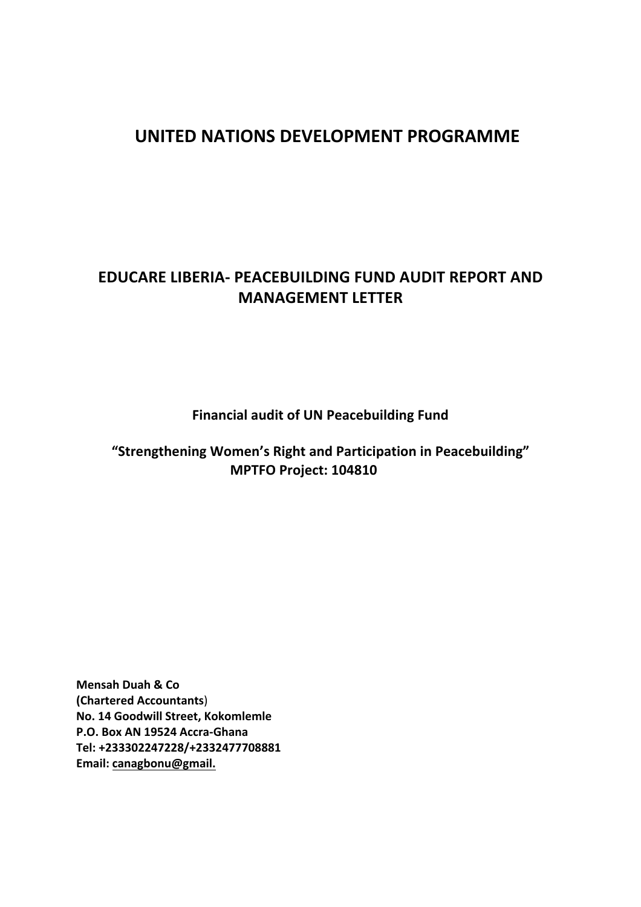# **UNITED NATIONS DEVELOPMENT PROGRAMME**

# **EDUCARE LIBERIA- PEACEBUILDING FUND AUDIT REPORT AND MANAGEMENT LETTER**

**Financial audit of UN Peacebuilding Fund** 

"Strengthening Women's Right and Participation in Peacebuilding" **MPTFO Project: 104810** 

**Mensah Duah & Co (Chartered Accountants**) **No. 14 Goodwill Street, Kokomlemle P.O. Box AN 19524 Accra-Ghana Tel: +233302247228/+2332477708881 Email: canagbonu@gmail.**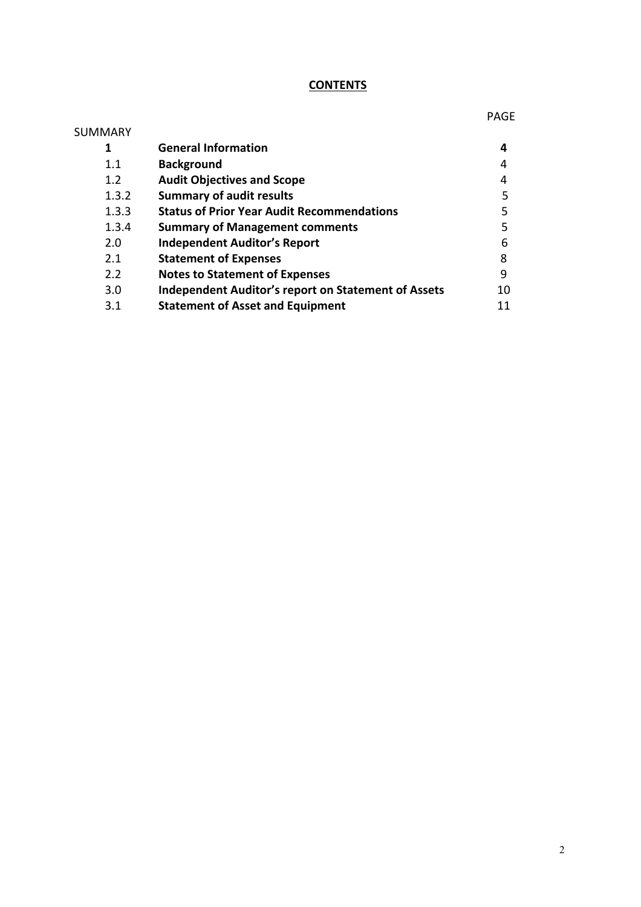## **CONTENTS**

PAGE

2

| SUMMARY |                                                            |    |
|---------|------------------------------------------------------------|----|
| 1       | <b>General Information</b>                                 | 4  |
| 1.1     | <b>Background</b>                                          | 4  |
| 1.2     | <b>Audit Objectives and Scope</b>                          | 4  |
| 1.3.2   | <b>Summary of audit results</b>                            | 5  |
| 1.3.3   | <b>Status of Prior Year Audit Recommendations</b>          | 5  |
| 1.3.4   | <b>Summary of Management comments</b>                      | 5  |
| 2.0     | <b>Independent Auditor's Report</b>                        | 6  |
| 2.1     | <b>Statement of Expenses</b>                               | 8  |
| 2.2     | <b>Notes to Statement of Expenses</b>                      | 9  |
| 3.0     | <b>Independent Auditor's report on Statement of Assets</b> | 10 |
| 3.1     | <b>Statement of Asset and Equipment</b>                    |    |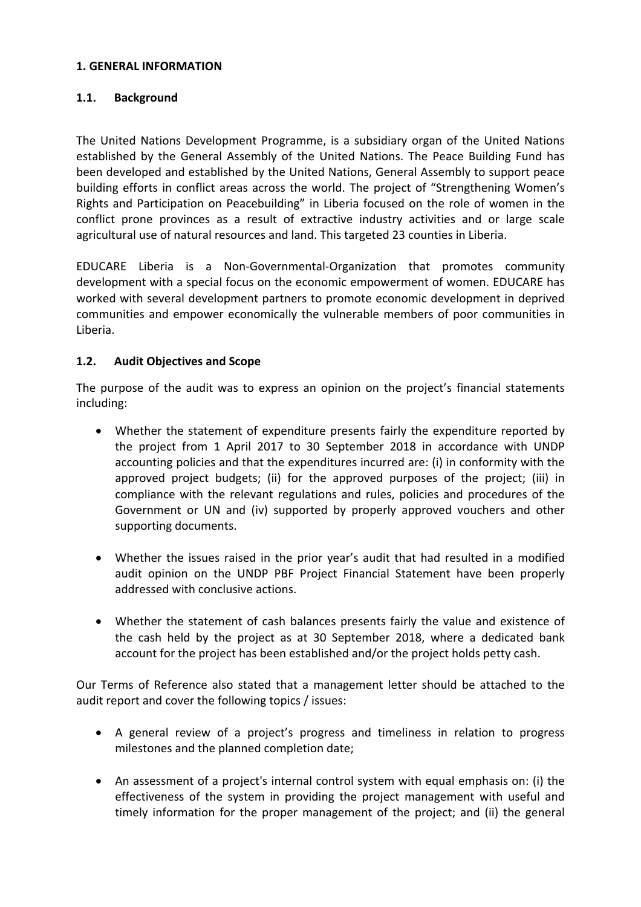### **1. GENERAL INFORMATION**

## **1.1. Background**

The United Nations Development Programme, is a subsidiary organ of the United Nations established by the General Assembly of the United Nations. The Peace Building Fund has been developed and established by the United Nations, General Assembly to support peace building efforts in conflict areas across the world. The project of "Strengthening Women's Rights and Participation on Peacebuilding" in Liberia focused on the role of women in the conflict prone provinces as a result of extractive industry activities and or large scale agricultural use of natural resources and land. This targeted 23 counties in Liberia.

EDUCARE Liberia is a Non-Governmental-Organization that promotes community development with a special focus on the economic empowerment of women. EDUCARE has worked with several development partners to promote economic development in deprived communities and empower economically the vulnerable members of poor communities in Liberia. 

## **1.2.** Audit Objectives and Scope

The purpose of the audit was to express an opinion on the project's financial statements including: 

- Whether the statement of expenditure presents fairly the expenditure reported by the project from 1 April 2017 to 30 September 2018 in accordance with UNDP accounting policies and that the expenditures incurred are: (i) in conformity with the approved project budgets; (ii) for the approved purposes of the project; (iii) in compliance with the relevant regulations and rules, policies and procedures of the Government or UN and (iv) supported by properly approved vouchers and other supporting documents.
- Whether the issues raised in the prior year's audit that had resulted in a modified audit opinion on the UNDP PBF Project Financial Statement have been properly addressed with conclusive actions.
- Whether the statement of cash balances presents fairly the value and existence of the cash held by the project as at 30 September 2018, where a dedicated bank account for the project has been established and/or the project holds petty cash.

Our Terms of Reference also stated that a management letter should be attached to the audit report and cover the following topics / issues:

- A general review of a project's progress and timeliness in relation to progress milestones and the planned completion date;
- An assessment of a project's internal control system with equal emphasis on: (i) the effectiveness of the system in providing the project management with useful and timely information for the proper management of the project; and (ii) the general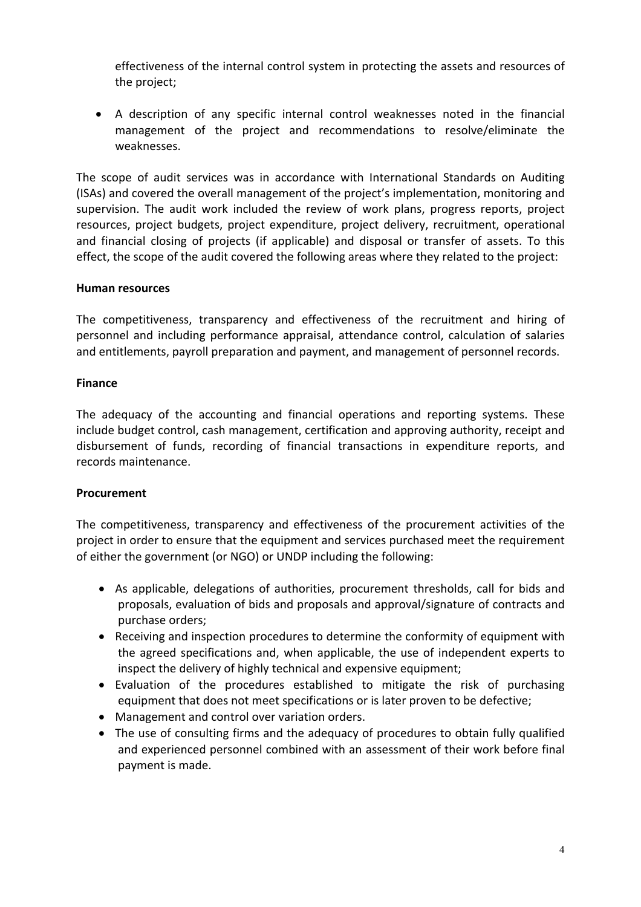effectiveness of the internal control system in protecting the assets and resources of the project;

• A description of any specific internal control weaknesses noted in the financial management of the project and recommendations to resolve/eliminate the weaknesses. 

The scope of audit services was in accordance with International Standards on Auditing (ISAs) and covered the overall management of the project's implementation, monitoring and supervision. The audit work included the review of work plans, progress reports, project resources, project budgets, project expenditure, project delivery, recruitment, operational and financial closing of projects (if applicable) and disposal or transfer of assets. To this effect, the scope of the audit covered the following areas where they related to the project:

## **Human resources**

The competitiveness, transparency and effectiveness of the recruitment and hiring of personnel and including performance appraisal, attendance control, calculation of salaries and entitlements, payroll preparation and payment, and management of personnel records.

## **Finance**

The adequacy of the accounting and financial operations and reporting systems. These include budget control, cash management, certification and approving authority, receipt and disbursement of funds, recording of financial transactions in expenditure reports, and records maintenance.

## **Procurement**

The competitiveness, transparency and effectiveness of the procurement activities of the project in order to ensure that the equipment and services purchased meet the requirement of either the government (or NGO) or UNDP including the following:

- As applicable, delegations of authorities, procurement thresholds, call for bids and proposals, evaluation of bids and proposals and approval/signature of contracts and purchase orders;
- Receiving and inspection procedures to determine the conformity of equipment with the agreed specifications and, when applicable, the use of independent experts to inspect the delivery of highly technical and expensive equipment;
- Evaluation of the procedures established to mitigate the risk of purchasing equipment that does not meet specifications or is later proven to be defective;
- Management and control over variation orders.
- The use of consulting firms and the adequacy of procedures to obtain fully qualified and experienced personnel combined with an assessment of their work before final payment is made.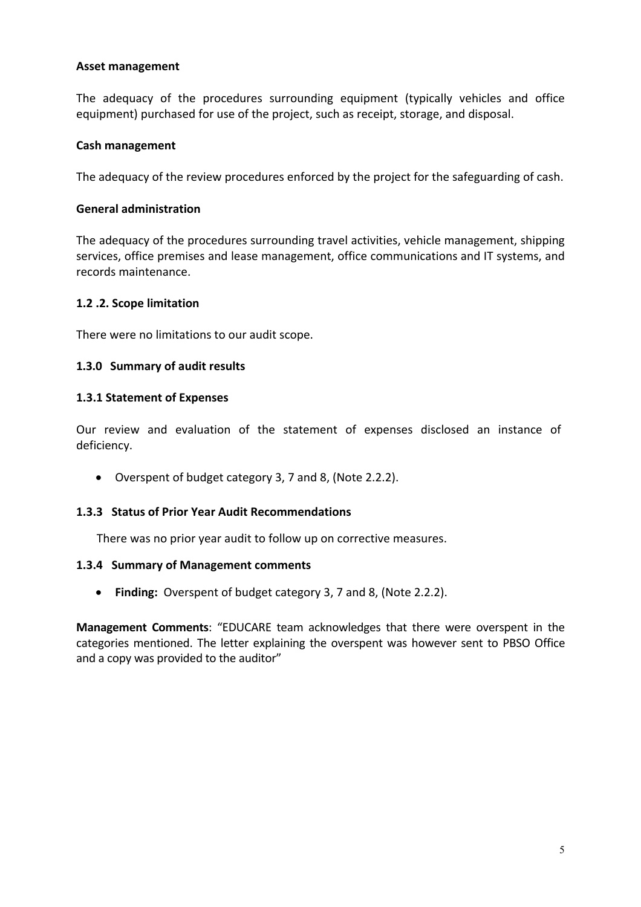## **Asset management**

The adequacy of the procedures surrounding equipment (typically vehicles and office equipment) purchased for use of the project, such as receipt, storage, and disposal.

## **Cash management**

The adequacy of the review procedures enforced by the project for the safeguarding of cash.

## **General administration**

The adequacy of the procedures surrounding travel activities, vehicle management, shipping services, office premises and lease management, office communications and IT systems, and records maintenance.

## **1.2 .2. Scope limitation**

There were no limitations to our audit scope.

## **1.3.0 Summary of audit results**

## **1.3.1 Statement of Expenses**

Our review and evaluation of the statement of expenses disclosed an instance of deficiency.

• Overspent of budget category 3, 7 and 8, (Note 2.2.2).

#### **1.3.3 Status of Prior Year Audit Recommendations**

There was no prior year audit to follow up on corrective measures.

#### **1.3.4 Summary of Management comments**

• Finding: Overspent of budget category 3, 7 and 8, (Note 2.2.2).

**Management Comments:** "EDUCARE team acknowledges that there were overspent in the categories mentioned. The letter explaining the overspent was however sent to PBSO Office and a copy was provided to the auditor"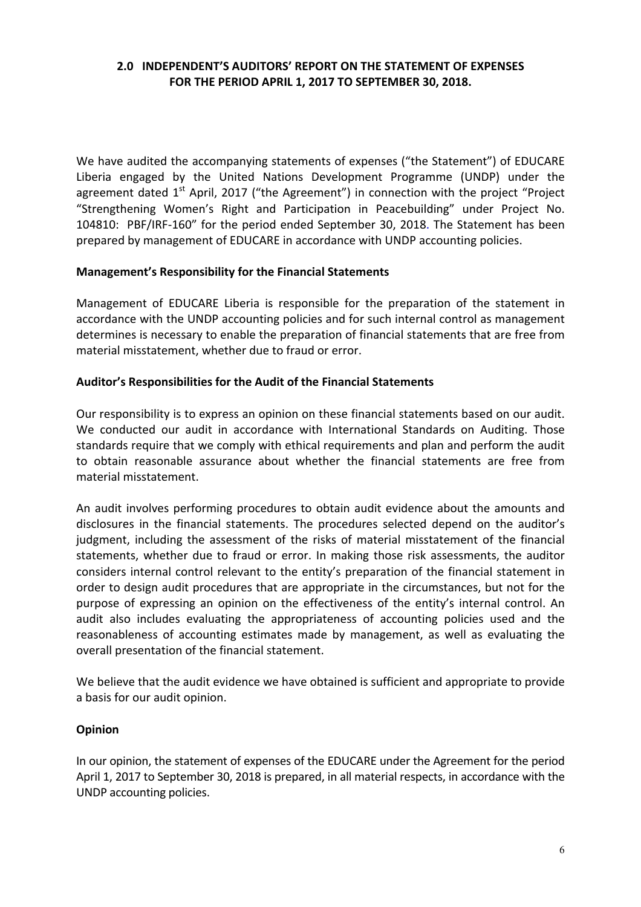## **2.0 INDEPENDENT'S AUDITORS' REPORT ON THE STATEMENT OF EXPENSES** FOR THE PERIOD APRIL 1, 2017 TO SEPTEMBER 30, 2018.

We have audited the accompanying statements of expenses ("the Statement") of EDUCARE Liberia engaged by the United Nations Development Programme (UNDP) under the agreement dated  $1<sup>st</sup>$  April, 2017 ("the Agreement") in connection with the project "Project "Strengthening Women's Right and Participation in Peacebuilding" under Project No. 104810: PBF/IRF-160" for the period ended September 30, 2018. The Statement has been prepared by management of EDUCARE in accordance with UNDP accounting policies.

#### **Management's Responsibility for the Financial Statements**

Management of EDUCARE Liberia is responsible for the preparation of the statement in accordance with the UNDP accounting policies and for such internal control as management determines is necessary to enable the preparation of financial statements that are free from material misstatement, whether due to fraud or error.

## Auditor's Responsibilities for the Audit of the Financial Statements

Our responsibility is to express an opinion on these financial statements based on our audit. We conducted our audit in accordance with International Standards on Auditing. Those standards require that we comply with ethical requirements and plan and perform the audit to obtain reasonable assurance about whether the financial statements are free from material misstatement. 

An audit involves performing procedures to obtain audit evidence about the amounts and disclosures in the financial statements. The procedures selected depend on the auditor's judgment, including the assessment of the risks of material misstatement of the financial statements, whether due to fraud or error. In making those risk assessments, the auditor considers internal control relevant to the entity's preparation of the financial statement in order to design audit procedures that are appropriate in the circumstances, but not for the purpose of expressing an opinion on the effectiveness of the entity's internal control. An audit also includes evaluating the appropriateness of accounting policies used and the reasonableness of accounting estimates made by management, as well as evaluating the overall presentation of the financial statement.

We believe that the audit evidence we have obtained is sufficient and appropriate to provide a basis for our audit opinion.

#### **Opinion**

In our opinion, the statement of expenses of the EDUCARE under the Agreement for the period April 1, 2017 to September 30, 2018 is prepared, in all material respects, in accordance with the UNDP accounting policies.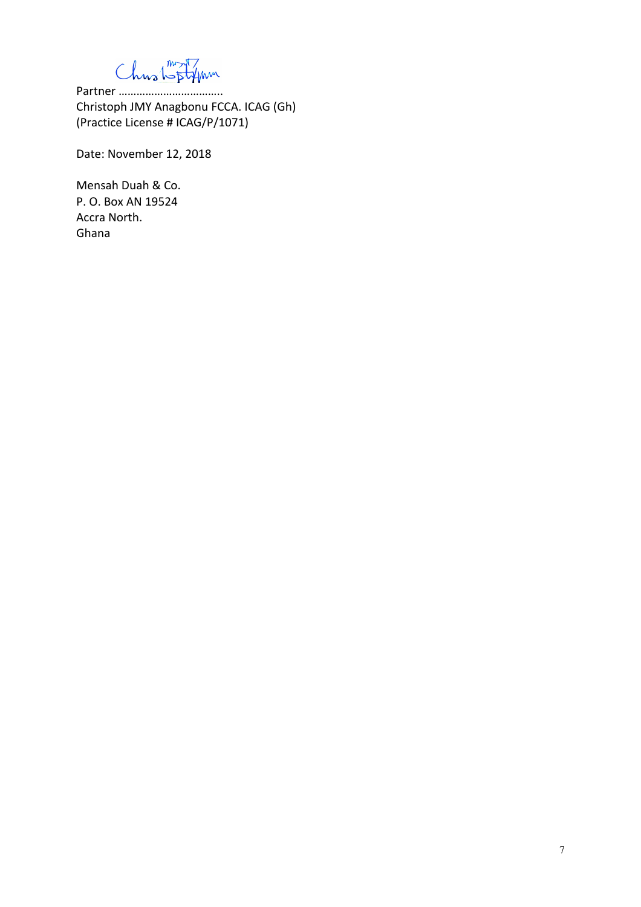Chustoptyn

Partner …………………………….. Christoph JMY Anagbonu FCCA. ICAG (Gh) (Practice License # ICAG/P/1071)

Date: November 12, 2018

Mensah Duah & Co. P. O. Box AN 19524 Accra North. Ghana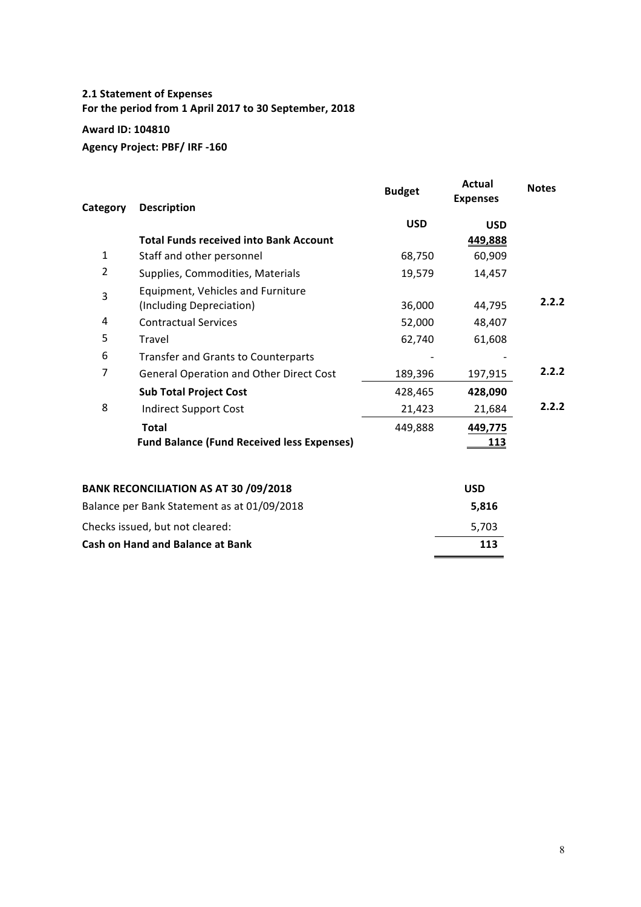## **2.1 Statement of Expenses** For the period from 1 April 2017 to 30 September, 2018

## **Award ID: 104810**

**Agency Project: PBF/ IRF -160** 

| Category                                    | <b>Description</b>                                            | <b>Budget</b> | Actual<br><b>Expenses</b> | <b>Notes</b> |  |
|---------------------------------------------|---------------------------------------------------------------|---------------|---------------------------|--------------|--|
|                                             |                                                               | <b>USD</b>    | <b>USD</b>                |              |  |
|                                             | <b>Total Funds received into Bank Account</b>                 |               | 449,888                   |              |  |
| $\mathbf{1}$                                | Staff and other personnel                                     | 68,750        | 60,909                    |              |  |
| $\overline{2}$                              | Supplies, Commodities, Materials                              | 19,579        | 14,457                    |              |  |
| 3                                           | Equipment, Vehicles and Furniture<br>(Including Depreciation) | 36,000        | 44,795                    | 2.2.2        |  |
| 4                                           | <b>Contractual Services</b>                                   | 52,000        | 48,407                    |              |  |
| 5                                           | Travel                                                        | 62,740        | 61,608                    |              |  |
| 6                                           | <b>Transfer and Grants to Counterparts</b>                    |               |                           |              |  |
| 7                                           | <b>General Operation and Other Direct Cost</b>                | 189,396       | 197,915                   | 2.2.2        |  |
|                                             | <b>Sub Total Project Cost</b>                                 | 428,465       | 428,090                   |              |  |
| 8                                           | <b>Indirect Support Cost</b>                                  | 21,423        | 21,684                    | 2.2.2        |  |
|                                             | <b>Total</b>                                                  | 449,888       | 449,775                   |              |  |
|                                             | <b>Fund Balance (Fund Received less Expenses)</b>             |               | <u> 113</u>               |              |  |
|                                             | <b>BANK RECONCILIATION AS AT 30 /09/2018</b>                  |               | <b>USD</b>                |              |  |
| Balance per Bank Statement as at 01/09/2018 |                                                               |               | 5,816                     |              |  |
| Checks issued, but not cleared:             |                                                               |               | 5,703                     |              |  |
| <b>Cash on Hand and Balance at Bank</b>     |                                                               |               | 113                       |              |  |
|                                             |                                                               |               |                           |              |  |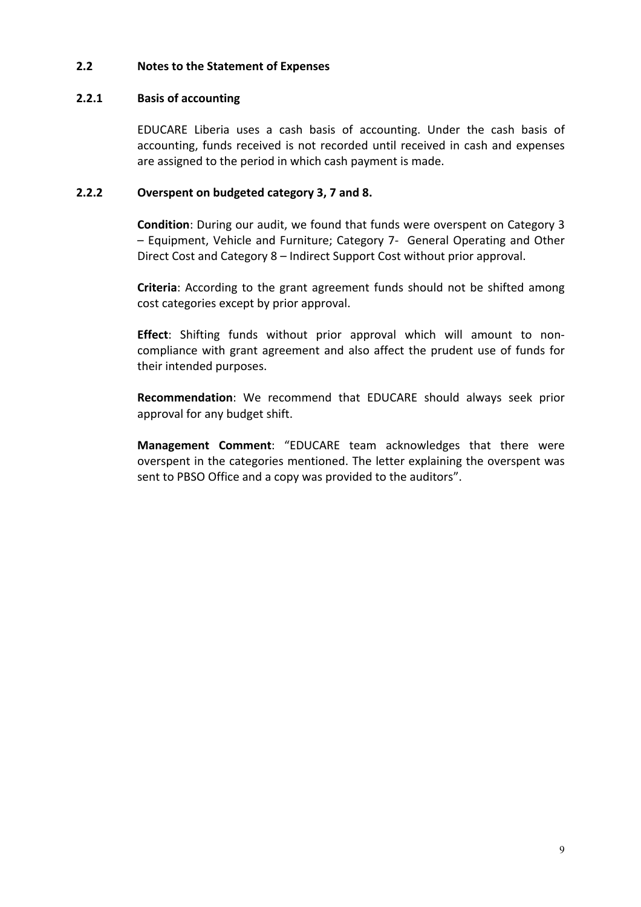## **2.2 Notes to the Statement of Expenses**

## **2.2.1 Basis of accounting**

EDUCARE Liberia uses a cash basis of accounting. Under the cash basis of accounting, funds received is not recorded until received in cash and expenses are assigned to the period in which cash payment is made.

## **2.2.2 Overspent on budgeted category 3, 7 and 8.**

**Condition**: During our audit, we found that funds were overspent on Category 3 - Equipment, Vehicle and Furniture; Category 7- General Operating and Other Direct Cost and Category 8 – Indirect Support Cost without prior approval.

**Criteria**: According to the grant agreement funds should not be shifted among cost categories except by prior approval.

**Effect**: Shifting funds without prior approval which will amount to noncompliance with grant agreement and also affect the prudent use of funds for their intended purposes.

**Recommendation**: We recommend that EDUCARE should always seek prior approval for any budget shift.

**Management Comment:** "EDUCARE team acknowledges that there were overspent in the categories mentioned. The letter explaining the overspent was sent to PBSO Office and a copy was provided to the auditors".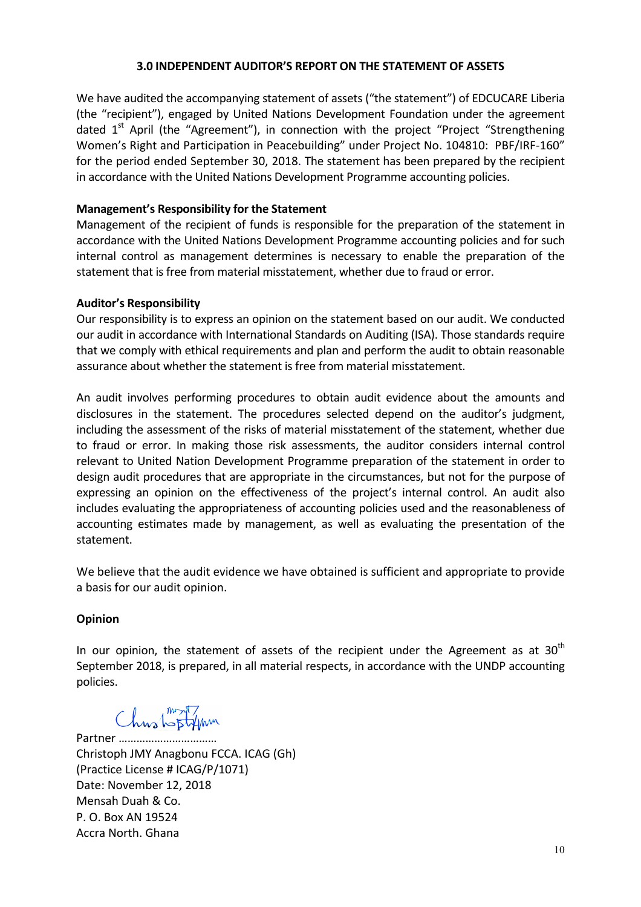#### **3.0 INDEPENDENT AUDITOR'S REPORT ON THE STATEMENT OF ASSETS**

We have audited the accompanying statement of assets ("the statement") of EDCUCARE Liberia (the "recipient"), engaged by United Nations Development Foundation under the agreement dated  $1<sup>st</sup>$  April (the "Agreement"), in connection with the project "Project "Strengthening Women's Right and Participation in Peacebuilding" under Project No. 104810: PBF/IRF-160" for the period ended September 30, 2018. The statement has been prepared by the recipient in accordance with the United Nations Development Programme accounting policies.

#### **Management's Responsibility for the Statement**

Management of the recipient of funds is responsible for the preparation of the statement in accordance with the United Nations Development Programme accounting policies and for such internal control as management determines is necessary to enable the preparation of the statement that is free from material misstatement, whether due to fraud or error.

#### **Auditor's Responsibility**

Our responsibility is to express an opinion on the statement based on our audit. We conducted our audit in accordance with International Standards on Auditing (ISA). Those standards require that we comply with ethical requirements and plan and perform the audit to obtain reasonable assurance about whether the statement is free from material misstatement.

An audit involves performing procedures to obtain audit evidence about the amounts and disclosures in the statement. The procedures selected depend on the auditor's judgment, including the assessment of the risks of material misstatement of the statement, whether due to fraud or error. In making those risk assessments, the auditor considers internal control relevant to United Nation Development Programme preparation of the statement in order to design audit procedures that are appropriate in the circumstances, but not for the purpose of expressing an opinion on the effectiveness of the project's internal control. An audit also includes evaluating the appropriateness of accounting policies used and the reasonableness of accounting estimates made by management, as well as evaluating the presentation of the statement.

We believe that the audit evidence we have obtained is sufficient and appropriate to provide a basis for our audit opinion.

#### **Opinion**

In our opinion, the statement of assets of the recipient under the Agreement as at  $30<sup>th</sup>$ September 2018, is prepared, in all material respects, in accordance with the UNDP accounting policies.

Chustoffm

Partner …………………… Christoph JMY Anagbonu FCCA. ICAG (Gh) (Practice License # ICAG/P/1071) Date: November 12, 2018 Mensah Duah & Co. P. O. Box AN 19524 Accra North. Ghana